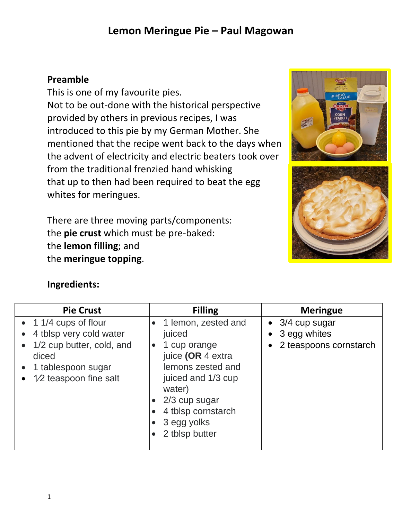### **Preamble**

This is one of my favourite pies. Not to be out-done with the historical perspective provided by others in previous recipes, I was introduced to this pie by my German Mother. She mentioned that the recipe went back to the days when the advent of electricity and electric beaters took over from the traditional frenzied hand whisking that up to then had been required to beat the egg whites for meringues.

There are three moving parts/components: the **pie crust** which must be pre-baked: the **lemon filling**; and the **meringue topping**.





### **Ingredients:**

| <b>Pie Crust</b>                                                                                                                                 | <b>Filling</b>                                                                                                                                                                                  | <b>Meringue</b>                                                   |
|--------------------------------------------------------------------------------------------------------------------------------------------------|-------------------------------------------------------------------------------------------------------------------------------------------------------------------------------------------------|-------------------------------------------------------------------|
| $\bullet$ 1 1/4 cups of flour<br>4 tblsp very cold water<br>1/2 cup butter, cold, and<br>diced<br>1 tablespoon sugar<br>$1/2$ teaspoon fine salt | 1 lemon, zested and<br>juiced<br>1 cup orange<br>juice (OR 4 extra<br>lemons zested and<br>juiced and 1/3 cup<br>water)<br>2/3 cup sugar<br>4 tblsp cornstarch<br>3 egg yolks<br>2 tblsp butter | $\bullet$ 3/4 cup sugar<br>3 egg whites<br>2 teaspoons cornstarch |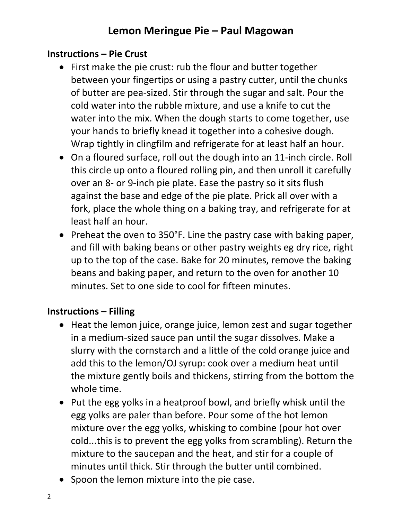### **Instructions – Pie Crust**

- First make the pie crust: rub the flour and butter together between your fingertips or using a pastry cutter, until the chunks of butter are pea-sized. Stir through the sugar and salt. Pour the cold water into the rubble mixture, and use a knife to cut the water into the mix. When the dough starts to come together, use your hands to briefly knead it together into a cohesive dough. Wrap tightly in clingfilm and refrigerate for at least half an hour.
- On a floured surface, roll out the dough into an 11-inch circle. Roll this circle up onto a floured rolling pin, and then unroll it carefully over an 8- or 9-inch pie plate. Ease the pastry so it sits flush against the base and edge of the pie plate. Prick all over with a fork, place the whole thing on a baking tray, and refrigerate for at least half an hour.
- Preheat the oven to 350°F. Line the pastry case with baking paper, and fill with baking beans or other pastry weights eg dry rice, right up to the top of the case. Bake for 20 minutes, remove the baking beans and baking paper, and return to the oven for another 10 minutes. Set to one side to cool for fifteen minutes.

### **Instructions – Filling**

- Heat the lemon juice, orange juice, lemon zest and sugar together in a medium-sized sauce pan until the sugar dissolves. Make a slurry with the cornstarch and a little of the cold orange juice and add this to the lemon/OJ syrup: cook over a medium heat until the mixture gently boils and thickens, stirring from the bottom the whole time.
- Put the egg yolks in a heatproof bowl, and briefly whisk until the egg yolks are paler than before. Pour some of the hot lemon mixture over the egg yolks, whisking to combine (pour hot over cold...this is to prevent the egg yolks from scrambling). Return the mixture to the saucepan and the heat, and stir for a couple of minutes until thick. Stir through the butter until combined.
- Spoon the lemon mixture into the pie case.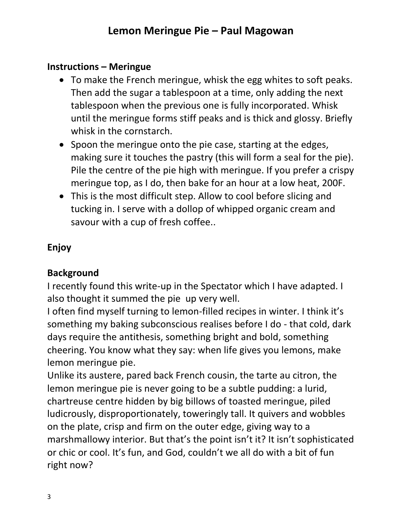### **Instructions – Meringue**

- To make the French meringue, whisk the egg whites to soft peaks. Then add the sugar a tablespoon at a time, only adding the next tablespoon when the previous one is fully incorporated. Whisk until the meringue forms stiff peaks and is thick and glossy. Briefly whisk in the cornstarch.
- Spoon the meringue onto the pie case, starting at the edges, making sure it touches the pastry (this will form a seal for the pie). Pile the centre of the pie high with meringue. If you prefer a crispy meringue top, as I do, then bake for an hour at a low heat, 200F.
- This is the most difficult step. Allow to cool before slicing and tucking in. I serve with a dollop of whipped organic cream and savour with a cup of fresh coffee..

### **Enjoy**

### **Background**

I recently found this write-up in the Spectator which I have adapted. I also thought it summed the pie up very well.

I often find myself turning to lemon-filled recipes in winter. I think it's something my baking subconscious realises before I do - that cold, dark days require the antithesis, something bright and bold, something cheering. You know what they say: when life gives you lemons, make lemon meringue pie.

Unlike its austere, pared back French cousin, the tarte au citron, the lemon meringue pie is never going to be a subtle pudding: a lurid, chartreuse centre hidden by big billows of toasted meringue, piled ludicrously, disproportionately, toweringly tall. It quivers and wobbles on the plate, crisp and firm on the outer edge, giving way to a marshmallowy interior. But that's the point isn't it? It isn't sophisticated or chic or cool. It's fun, and God, couldn't we all do with a bit of fun right now?